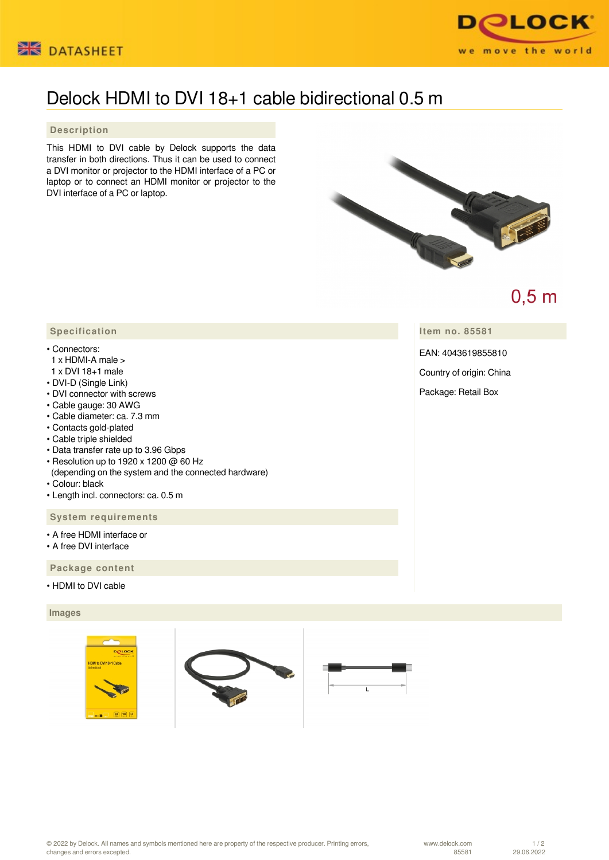



# Delock HDMI to DVI 18+1 cable bidirectional 0.5 m

## **Description**

This HDMI to DVI cable by Delock supports the data transfer in both directions. Thus it can be used to connect a DVI monitor or projector to the HDMI interface of a PC or laptop or to connect an HDMI monitor or projector to the DVI interface of a PC or laptop.



 $0,5$  m

**Item no. 85581**

EAN: 4043619855810

Country of origin: China

Package: Retail Box

# **Specification**

- Connectors:
- 1 x HDMI-A male >
- 1 x DVI 18+1 male
- DVI-D (Single Link)
- DVI connector with screws
- Cable gauge: 30 AWG
- Cable diameter: ca. 7.3 mm
- Contacts gold-plated
- Cable triple shielded
- Data transfer rate up to 3.96 Gbps
- Resolution up to 1920 x 1200 @ 60 Hz (depending on the system and the connected hardware)
- Colour: black
- Length incl. connectors: ca. 0.5 m

#### **System requirements**

- A free HDMI interface or
- A free DVI interface

### **Package content**

• HDMI to DVI cable

#### **Images**